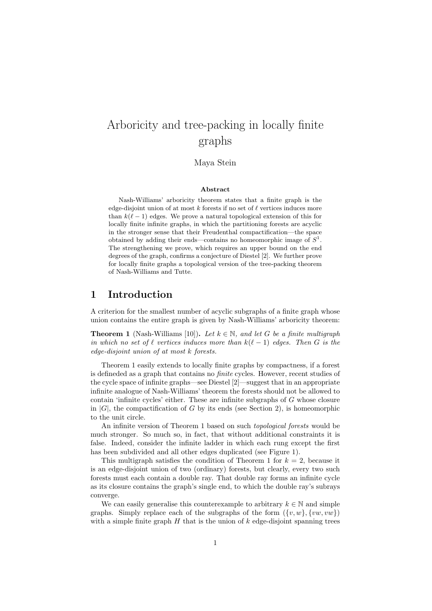# Arboricity and tree-packing in locally finite graphs

Maya Stein

#### Abstract

Nash-Williams' arboricity theorem states that a finite graph is the edge-disjoint union of at most  $k$  forests if no set of  $\ell$  vertices induces more than  $k(\ell - 1)$  edges. We prove a natural topological extension of this for locally finite infinite graphs, in which the partitioning forests are acyclic in the stronger sense that their Freudenthal compactification—the space obtained by adding their ends—contains no homeomorphic image of  $S<sup>1</sup>$ . The strengthening we prove, which requires an upper bound on the end degrees of the graph, confirms a conjecture of Diestel [2]. We further prove for locally finite graphs a topological version of the tree-packing theorem of Nash-Williams and Tutte.

### 1 Introduction

A criterion for the smallest number of acyclic subgraphs of a finite graph whose union contains the entire graph is given by Nash-Williams' arboricity theorem:

**Theorem 1** (Nash-Williams [10]). Let  $k \in \mathbb{N}$ , and let G be a finite multigraph in which no set of  $\ell$  vertices induces more than  $k(\ell - 1)$  edges. Then G is the edge-disjoint union of at most k forests.

Theorem 1 easily extends to locally finite graphs by compactness, if a forest is defineded as a graph that contains no finite cycles. However, recent studies of the cycle space of infinite graphs—see Diestel [2]—suggest that in an appropriate infinite analogue of Nash-Williams' theorem the forests should not be allowed to contain 'infinite cycles' either. These are infinite subgraphs of G whose closure in  $|G|$ , the compactification of G by its ends (see Section 2), is homeomorphic to the unit circle.

An infinite version of Theorem 1 based on such topological forests would be much stronger. So much so, in fact, that without additional constraints it is false. Indeed, consider the infinite ladder in which each rung except the first has been subdivided and all other edges duplicated (see Figure 1).

This multigraph satisfies the condition of Theorem 1 for  $k = 2$ , because it is an edge-disjoint union of two (ordinary) forests, but clearly, every two such forests must each contain a double ray. That double ray forms an infinite cycle as its closure contains the graph's single end, to which the double ray's subrays converge.

We can easily generalise this counterexample to arbitrary  $k \in \mathbb{N}$  and simple graphs. Simply replace each of the subgraphs of the form  $({v, w}, {vw, vw})$ with a simple finite graph  $H$  that is the union of k edge-disjoint spanning trees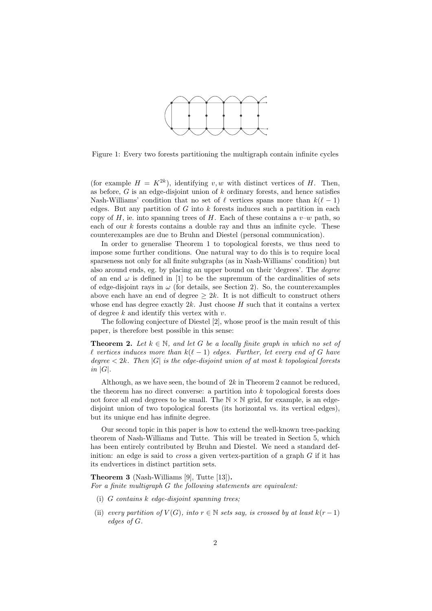

Figure 1: Every two forests partitioning the multigraph contain infinite cycles

(for example  $H = K^{2k}$ ), identifying v, w with distinct vertices of H. Then, as before,  $G$  is an edge-disjoint union of  $k$  ordinary forests, and hence satisfies Nash-Williams' condition that no set of  $\ell$  vertices spans more than  $k(\ell - 1)$ edges. But any partition of  $G$  into  $k$  forests induces such a partition in each copy of H, ie. into spanning trees of H. Each of these contains a  $v-w$  path, so each of our  $k$  forests contains a double ray and thus an infinite cycle. These counterexamples are due to Bruhn and Diestel (personal communication).

In order to generalise Theorem 1 to topological forests, we thus need to impose some further conditions. One natural way to do this is to require local sparseness not only for all finite subgraphs (as in Nash-Williams' condition) but also around ends, eg. by placing an upper bound on their 'degrees'. The degree of an end  $\omega$  is defined in [1] to be the supremum of the cardinalities of sets of edge-disjoint rays in  $\omega$  (for details, see Section 2). So, the counterexamples above each have an end of degree  $\geq 2k$ . It is not difficult to construct others whose end has degree exactly  $2k$ . Just choose H such that it contains a vertex of degree  $k$  and identify this vertex with  $v$ .

The following conjecture of Diestel [2], whose proof is the main result of this paper, is therefore best possible in this sense:

**Theorem 2.** Let  $k \in \mathbb{N}$ , and let G be a locally finite graph in which no set of  $\ell$  vertices induces more than  $k(\ell - 1)$  edges. Further, let every end of G have degree  $\langle 2k.$  Then  $|G|$  is the edge-disjoint union of at most k topological forests in  $|G|$ .

Although, as we have seen, the bound of  $2k$  in Theorem 2 cannot be reduced, the theorem has no direct converse: a partition into  $k$  topological forests does not force all end degrees to be small. The  $N \times N$  grid, for example, is an edgedisjoint union of two topological forests (its horizontal vs. its vertical edges), but its unique end has infinite degree.

Our second topic in this paper is how to extend the well-known tree-packing theorem of Nash-Williams and Tutte. This will be treated in Section 5, which has been entirely contributed by Bruhn and Diestel. We need a standard definition: an edge is said to *cross* a given vertex-partition of a graph  $G$  if it has its endvertices in distinct partition sets.

Theorem 3 (Nash-Williams [9], Tutte [13]). For a finite multigraph G the following statements are equivalent:

- (i) G contains k edge-disjoint spanning trees;
- (ii) every partition of  $V(G)$ , into  $r \in \mathbb{N}$  sets say, is crossed by at least  $k(r-1)$ edges of G.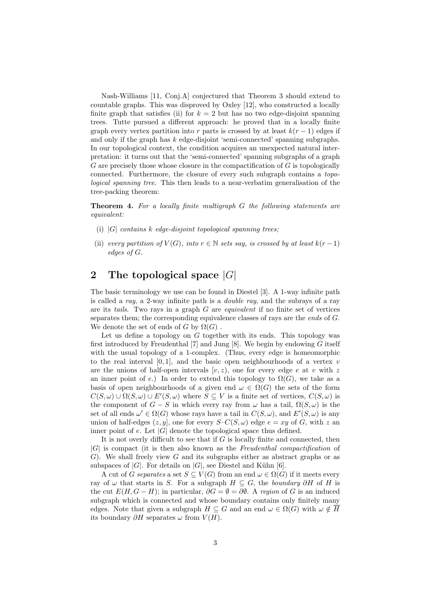Nash-Williams [11, Conj.A] conjectured that Theorem 3 should extend to countable graphs. This was disproved by Oxley [12], who constructed a locally finite graph that satisfies (ii) for  $k = 2$  but has no two edge-disjoint spanning trees. Tutte pursued a different approach: he proved that in a locally finite graph every vertex partition into r parts is crossed by at least  $k(r-1)$  edges if and only if the graph has  $k$  edge-disjoint 'semi-connected' spanning subgraphs. In our topological context, the condition acquires an unexpected natural interpretation: it turns out that the 'semi-connected' spanning subgraphs of a graph  $G$  are precisely those whose closure in the compactification of  $G$  is topologically connected. Furthermore, the closure of every such subgraph contains a topological spanning tree. This then leads to a near-verbatim generalisation of the tree-packing theorem:

Theorem 4. For a locally finite multigraph G the following statements are equivalent:

- (i)  $|G|$  contains k edge-disjoint topological spanning trees;
- (ii) every partition of  $V(G)$ , into  $r \in \mathbb{N}$  sets say, is crossed by at least  $k(r-1)$ edges of G.

# 2 The topological space  $|G|$

The basic terminology we use can be found in Diestel [3]. A 1-way infinite path is called a ray, a 2-way infinite path is a double ray, and the subrays of a ray are its tails. Two rays in a graph  $G$  are *equivalent* if no finite set of vertices separates them; the corresponding equivalence classes of rays are the *ends* of G. We denote the set of ends of G by  $\Omega(G)$ .

Let us define a topology on G together with its ends. This topology was first introduced by Freudenthal  $[7]$  and Jung  $[8]$ . We begin by endowing G itself with the usual topology of a 1-complex. (Thus, every edge is homeomorphic to the real interval  $[0, 1]$ , and the basic open neighbourhoods of a vertex v are the unions of half-open intervals  $[v, z)$ , one for every edge e at v with z an inner point of e.) In order to extend this topology to  $\Omega(G)$ , we take as a basis of open neighbourhoods of a given end  $\omega \in \Omega(G)$  the sets of the form  $C(S, \omega) \cup \Omega(S, \omega) \cup E'(S, \omega)$  where  $S \subseteq V$  is a finite set of vertices,  $C(S, \omega)$  is the component of  $G - S$  in which every ray from  $\omega$  has a tail,  $\Omega(S, \omega)$  is the set of all ends  $\omega' \in \Omega(G)$  whose rays have a tail in  $C(S, \omega)$ , and  $E'(S, \omega)$  is any union of half-edges  $(z, y]$ , one for every  $S-C(S, \omega)$  edge  $e = xy$  of G, with z an inner point of e. Let  $|G|$  denote the topological space thus defined.

It is not overly difficult to see that if  $G$  is locally finite and connected, then  $|G|$  is compact (it is then also known as the Freudenthal compactification of  $G$ ). We shall freely view G and its subgraphs either as abstract graphs or as subspaces of  $|G|$ . For details on  $|G|$ , see Diestel and Kühn [6].

A cut of G separates a set  $S \subseteq V(G)$  from an end  $\omega \in \Omega(G)$  if it meets every ray of  $\omega$  that starts in S. For a subgraph  $H \subseteq G$ , the boundary ∂H of H is the cut  $E(H, G - H)$ ; in particular,  $\partial G = \emptyset = \partial \emptyset$ . A region of G is an induced subgraph which is connected and whose boundary contains only finitely many edges. Note that given a subgraph  $H \subseteq G$  and an end  $\omega \in \Omega(G)$  with  $\omega \notin \overline{H}$ its boundary  $\partial H$  separates  $\omega$  from  $V(H)$ .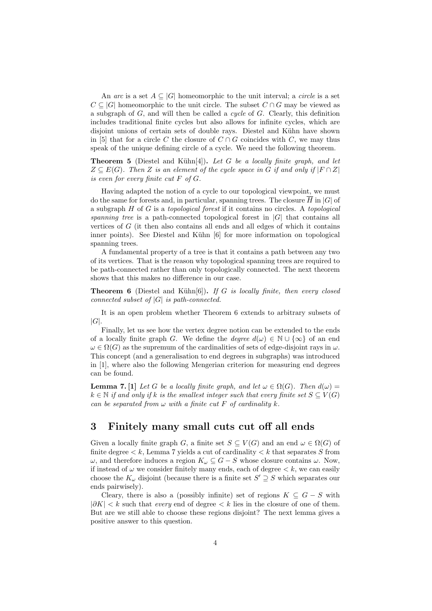An arc is a set  $A \subseteq |G|$  homeomorphic to the unit interval; a circle is a set  $C \subseteq |G|$  homeomorphic to the unit circle. The subset  $C \cap G$  may be viewed as a subgraph of  $G$ , and will then be called a *cycle* of  $G$ . Clearly, this definition includes traditional finite cycles but also allows for infinite cycles, which are disjoint unions of certain sets of double rays. Diestel and Kühn have shown in [5] that for a circle C the closure of  $C \cap G$  coincides with C, we may thus speak of the unique defining circle of a cycle. We need the following theorem.

**Theorem 5** (Diestel and Kühn[4]). Let G be a locally finite graph, and let  $Z \subseteq E(G)$ . Then Z is an element of the cycle space in G if and only if  $|F \cap Z|$ is even for every finite cut  $F$  of  $G$ .

Having adapted the notion of a cycle to our topological viewpoint, we must do the same for forests and, in particular, spanning trees. The closure  $\overline{H}$  in  $|G|$  of a subgraph  $H$  of  $G$  is a topological forest if it contains no circles. A topological spanning tree is a path-connected topological forest in  $|G|$  that contains all vertices of  $G$  (it then also contains all ends and all edges of which it contains inner points). See Diestel and Kühn [6] for more information on topological spanning trees.

A fundamental property of a tree is that it contains a path between any two of its vertices. That is the reason why topological spanning trees are required to be path-connected rather than only topologically connected. The next theorem shows that this makes no difference in our case.

**Theorem 6** (Diestel and Kühn[6]). If G is locally finite, then every closed connected subset of  $|G|$  is path-connected.

It is an open problem whether Theorem 6 extends to arbitrary subsets of  $|G|$ .

Finally, let us see how the vertex degree notion can be extended to the ends of a locally finite graph G. We define the *degree*  $d(\omega) \in \mathbb{N} \cup \{\infty\}$  of an end  $\omega \in \Omega(G)$  as the supremum of the cardinalities of sets of edge-disjoint rays in  $\omega$ . This concept (and a generalisation to end degrees in subgraphs) was introduced in [1], where also the following Mengerian criterion for measuring end degrees can be found.

**Lemma 7.** [1] Let G be a locally finite graph, and let  $\omega \in \Omega(G)$ . Then  $d(\omega)$  $k \in \mathbb{N}$  if and only if k is the smallest integer such that every finite set  $S \subset V(G)$ can be separated from  $\omega$  with a finite cut F of cardinality k.

### 3 Finitely many small cuts cut off all ends

Given a locally finite graph G, a finite set  $S \subseteq V(G)$  and an end  $\omega \in \Omega(G)$  of finite degree  $\lt k$ , Lemma 7 yields a cut of cardinality  $\lt k$  that separates S from  $ω$ , and therefore induces a region  $K<sub>ω</sub> ⊆ G - S$  whose closure contains  $ω$ . Now, if instead of  $\omega$  we consider finitely many ends, each of degree  $\lt k$ , we can easily choose the  $K_{\omega}$  disjoint (because there is a finite set  $S' \supseteq S$  which separates our ends pairwisely).

Cleary, there is also a (possibly infinite) set of regions  $K \subseteq G - S$  with  $|\partial K| < k$  such that every end of degree  $\lt k$  lies in the closure of one of them. But are we still able to choose these regions disjoint? The next lemma gives a positive answer to this question.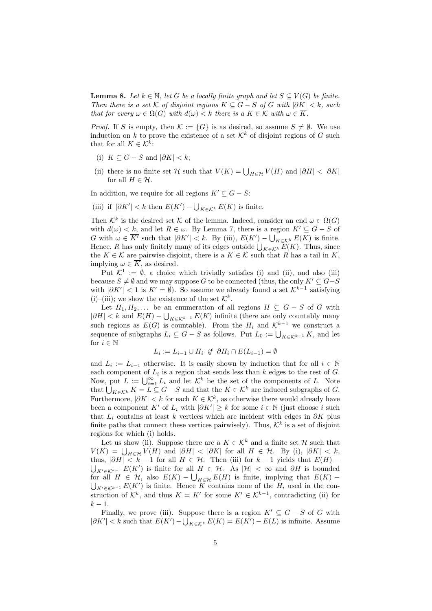**Lemma 8.** Let  $k \in \mathbb{N}$ , let G be a locally finite graph and let  $S \subseteq V(G)$  be finite. Then there is a set K of disjoint regions  $K \subseteq G - S$  of G with  $|\partial K| < k$ , such that for every  $\omega \in \Omega(G)$  with  $d(\omega) < k$  there is a  $K \in \mathcal{K}$  with  $\omega \in \overline{K}$ .

*Proof.* If S is empty, then  $\mathcal{K} := \{G\}$  is as desired, so assume  $S \neq \emptyset$ . We use induction on k to prove the existence of a set  $\mathcal{K}^k$  of disjoint regions of G such that for all  $K \in \mathcal{K}^k$ :

- (i)  $K \subseteq G S$  and  $|\partial K| < k$ ;
- (ii) there is no finite set H such that  $V(K) = \bigcup_{H \in \mathcal{H}} V(H)$  and  $|\partial H| < |\partial K|$ for all  $H \in \mathcal{H}$ .

In addition, we require for all regions  $K' \subseteq G - S$ :

(iii) if  $|\partial K'| < k$  then  $E(K') - \bigcup_{K \in \mathcal{K}^k} E(K)$  is finite.

Then  $\mathcal{K}^k$  is the desired set K of the lemma. Indeed, consider an end  $\omega \in \Omega(G)$ with  $d(\omega) < k$ , and let  $R \in \omega$ . By Lemma 7, there is a region  $K' \subseteq G - S$  of G with  $\omega \in \overline{K'}$  such that  $|\partial K'| < k$ . By (iii),  $E(K') - \bigcup_{K \in \mathcal{K}^k} E(K)$  is finite. Hence, R has only finitely many of its edges outside  $\bigcup_{K \in \mathcal{K}^k} E(K)$ . Thus, since the  $K \in \mathcal{K}$  are pairwise disjoint, there is a  $K \in \mathcal{K}$  such that R has a tail in K, implying  $\omega \in \overline{K}$ , as desired.

Put  $\mathcal{K}^1 := \emptyset$ , a choice which trivially satisfies (i) and (ii), and also (iii) because  $S \neq \emptyset$  and we may suppose G to be connected (thus, the only  $K' \subseteq G-S$ with  $|\partial K'| < 1$  is  $K' = \emptyset$ ). So assume we already found a set  $\mathcal{K}^{k-1}$  satisfying (i)–(iii); we show the existence of the set  $\mathcal{K}^k$ .

Let  $H_1, H_2, \ldots$  be an enumeration of all regions  $H \subseteq G - S$  of G with  $|\partial H| < k$  and  $E(H) - \bigcup_{K \in \mathcal{K}^{k-1}} E(K)$  infinite (there are only countably many such regions as  $E(G)$  is countable). From the  $H_i$  and  $\mathcal{K}^{k-1}$  we construct a sequence of subgraphs  $L_i \subseteq G - S$  as follows. Put  $L_0 := \bigcup_{K \in \mathcal{K}^{k-1}} K$ , and let for  $i \in \mathbb{N}$ 

$$
L_i := L_{i-1} \cup H_i \text{ if } \partial H_i \cap E(L_{i-1}) = \emptyset
$$

and  $L_i := L_{i-1}$  otherwise. It is easily shown by induction that for all  $i \in \mathbb{N}$ each component of  $L_i$  is a region that sends less than k edges to the rest of G. Now, put  $L := \bigcup_{i=1}^{\infty} L_i$  and let  $\mathcal{K}^k$  be the set of the components of L. Note that  $\bigcup_{K \in \mathcal{K}^k} K = L \subseteq G - S$  and that the  $K \in \mathcal{K}^k$  are induced subgraphs of G. Furthermore,  $|\partial K| < k$  for each  $K \in \mathcal{K}^k$ , as otherwise there would already have been a component K' of  $L_i$  with  $|\partial K'| \geq k$  for some  $i \in \mathbb{N}$  (just choose i such that  $L_i$  contains at least k vertices which are incident with edges in  $\partial K$  plus finite paths that connect these vertices pairwisely). Thus,  $\mathcal{K}^k$  is a set of disjoint regions for which (i) holds.

Let us show (ii). Suppose there are a  $K \in \mathcal{K}^k$  and a finite set H such that  $V(K) = \bigcup_{H \in \mathcal{H}} V(H)$  and  $|\partial H| < |\partial K|$  for all  $H \in \mathcal{H}$ . By (i),  $|\partial K| < k$ , thus,  $|\partial H| < k - 1$  for all  $H \in \mathcal{H}$ . Then (iii) for  $k - 1$  yields that  $E(H)$  –  $\bigcup_{K' \in \mathcal{K}^{k-1}} E(K')$  is finite for all  $H \in \mathcal{H}$ . As  $|\mathcal{H}| < \infty$  and  $\partial H$  is bounded for all  $H \in \mathcal{H}$ , also  $E(K) - \bigcup_{H \in \mathcal{H}} E(H)$  is finite, implying that  $E(K) - \bigcup_{K' \in \mathcal{K}^{k-1}} E(K')$  is finite. Hence K contains none of the  $H_i$  used in the construction of  $\mathcal{K}^k$ , and thus  $K = K'$  for some  $K' \in \mathcal{K}^{k-1}$ , contradicting (ii) for  $k-1$ .

Finally, we prove (iii). Suppose there is a region  $K' \subseteq G - S$  of G with  $|\partial K'| < k$  such that  $E(K') - \bigcup_{K \in \mathcal{K}^k} E(K) = E(K') - E(L)$  is infinite. Assume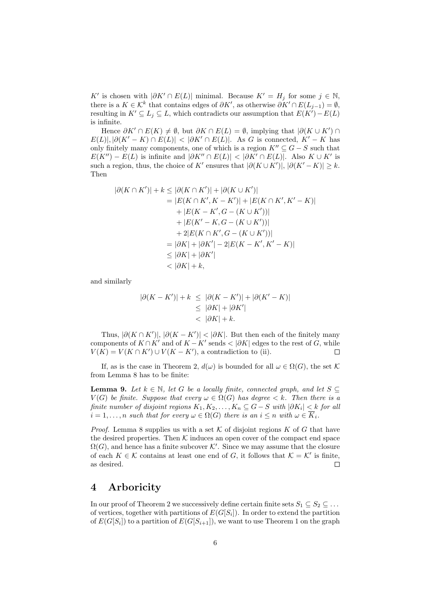K' is chosen with  $|\partial K' \cap E(L)|$  minimal. Because  $K' = H_j$  for some  $j \in \mathbb{N}$ , there is a  $K \in \mathcal{K}^k$  that contains edges of  $\partial K'$ , as otherwise  $\partial K' \cap E(L_{j-1}) = \emptyset$ , resulting in  $K' \subseteq L_j \subseteq L$ , which contradicts our assumption that  $E(K') - E(L)$ is infinite.

Hence  $\partial K' \cap E(K) \neq \emptyset$ , but  $\partial K \cap E(L) = \emptyset$ , implying that  $|\partial(K \cup K') \cap E(K)|$  $E(L)|, |\partial(K'-K) \cap E(L)| < |\partial K' \cap E(L)|$ . As G is connected,  $K'-K$  has only finitely many components, one of which is a region  $K'' \subseteq G - S$  such that  $E(K'') - E(L)$  is infinite and  $|\partial K'' \cap E(L)| < |\partial K' \cap E(L)|$ . Also  $K \cup K'$  is such a region, thus, the choice of K' ensures that  $|\partial (K \cup K')|, |\partial (K'-K)| \geq k$ . Then

$$
|\partial(K \cap K')| + k \le |\partial(K \cap K')| + |\partial(K \cup K')| = |E(K \cap K', K - K')| + |E(K \cap K', K' - K)| + |E(K - K', G - (K \cup K'))| + |E(K' - K, G - (K \cup K'))| + 2|E(K \cap K', G - (K \cup K'))| = |\partial K| + |\partial K'| - 2|E(K - K', K' - K)| \le |\partial K| + |\partial K'| < |\partial K| + k,
$$

and similarly

$$
|\partial(K - K')| + k \leq |\partial(K - K')| + |\partial(K' - K)|
$$
  
\n
$$
\leq |\partial K| + |\partial K'|
$$
  
\n
$$
< |\partial K| + k.
$$

Thus,  $|\partial (K \cap K')|, |\partial (K - K')| < |\partial K|$ . But then each of the finitely many components of  $K \cap K'$  and of  $K - K'$  sends  $\lt |\partial K|$  edges to the rest of G, while  $V(K) = V(K \cap K') \cup V(K - K')$ , a contradiction to (ii). Е

If, as is the case in Theorem 2,  $d(\omega)$  is bounded for all  $\omega \in \Omega(G)$ , the set K from Lemma 8 has to be finite:

**Lemma 9.** Let  $k \in \mathbb{N}$ , let G be a locally finite, connected graph, and let  $S \subseteq$  $V(G)$  be finite. Suppose that every  $\omega \in \Omega(G)$  has degree  $\lt k$ . Then there is a finite number of disjoint regions  $K_1, K_2, \ldots, K_n \subseteq G-S$  with  $|\partial K_i| < k$  for all  $i = 1, \ldots, n$  such that for every  $\omega \in \Omega(G)$  there is an  $i \leq n$  with  $\omega \in \overline{K}_i$ .

*Proof.* Lemma 8 supplies us with a set K of disjoint regions K of G that have the desired properties. Then  $K$  induces an open cover of the compact end space  $\Omega(G)$ , and hence has a finite subcover K'. Since we may assume that the closure of each  $K \in \mathcal{K}$  contains at least one end of G, it follows that  $\mathcal{K} = \mathcal{K}'$  is finite, as desired. П

#### 4 Arboricity

In our proof of Theorem 2 we successively define certain finite sets  $S_1 \subseteq S_2 \subseteq \ldots$ of vertices, together with partitions of  $E(G[S_i])$ . In order to extend the partition of  $E(G[S_i])$  to a partition of  $E(G[S_{i+1}])$ , we want to use Theorem 1 on the graph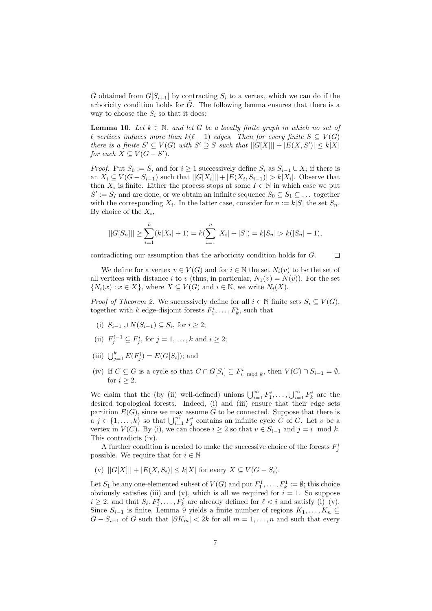$\tilde{G}$  obtained from  $G[S_{i+1}]$  by contracting  $S_i$  to a vertex, which we can do if the arboricity condition holds for  $\tilde{G}$ . The following lemma ensures that there is a way to choose the  $S_i$  so that it does:

**Lemma 10.** Let  $k \in \mathbb{N}$ , and let G be a locally finite graph in which no set of  $\ell$  vertices induces more than  $k(\ell - 1)$  edges. Then for every finite  $S ⊆ V(G)$ there is a finite  $S' \subseteq V(G)$  with  $S' \supseteq S$  such that  $||G[X]|| + |E(X, S')| \leq k|X|$ for each  $X \subseteq V(G - S')$ .

*Proof.* Put  $S_0 := S$ , and for  $i \geq 1$  successively define  $S_i$  as  $S_{i-1} \cup X_i$  if there is an  $X_i \subseteq V(G - S_{i-1})$  such that  $||G[X_i]|| + |E(X_i, S_{i-1})| > k|X_i|$ . Observe that then  $X_i$  is finite. Either the process stops at some  $I \in \mathbb{N}$  in which case we put  $S' := S_I$  and are done, or we obtain an infinite sequence  $S_0 \subseteq S_1 \subseteq \ldots$  together with the corresponding  $X_i$ . In the latter case, consider for  $n := k|S|$  the set  $S_n$ . By choice of the  $X_i$ ,

$$
||G[S_n]|| \geq \sum_{i=1}^n (k|X_i| + 1) = k(\sum_{i=1}^n |X_i| + |S|) = k|S_n| > k(|S_n| - 1),
$$

contradicting our assumption that the arboricity condition holds for G.  $\Box$ 

We define for a vertex  $v \in V(G)$  and for  $i \in \mathbb{N}$  the set  $N_i(v)$  to be the set of all vertices with distance i to v (thus, in particular,  $N_1(v) = N(v)$ ). For the set  $\{N_i(x) : x \in X\}$ , where  $X \subseteq V(G)$  and  $i \in \mathbb{N}$ , we write  $N_i(X)$ .

*Proof of Theorem 2.* We successively define for all  $i \in \mathbb{N}$  finite sets  $S_i \subseteq V(G)$ , together with k edge-disjoint forests  $F_1^i, \ldots, F_k^i$ , such that

- (i)  $S_{i-1}$  ∪  $N(S_{i-1}) \subseteq S_i$ , for  $i \geq 2$ ;
- (ii)  $F_j^{i-1} \subseteq F_j^i$ , for  $j = 1, \ldots, k$  and  $i \geq 2$ ;
- (iii)  $\bigcup_{j=1}^{k} E(F_j^i) = E(G[S_i])$ ; and
- (iv) If  $C \subseteq G$  is a cycle so that  $C \cap G[S_i] \subseteq F_i^i$  mod k, then  $V(C) \cap S_{i-1} = \emptyset$ , for  $i \geq 2$ .

We claim that the (by (ii) well-defined) unions  $\bigcup_{i=1}^{\infty} F_1^i, \ldots, \bigcup_{i=1}^{\infty} F_k^i$  are the desired topological forests. Indeed, (i) and (iii) ensure that their edge sets partition  $E(G)$ , since we may assume G to be connected. Suppose that there is  $a \, j \in \{1, \ldots, k\}$  so that  $\bigcup_{i=1}^{\infty} F_j^i$  contains an infinite cycle C of G. Let v be a vertex in  $V(C)$ . By (i), we can choose  $i \geq 2$  so that  $v \in S_{i-1}$  and  $j = i \mod k$ . This contradicts (iv).

A further condition is needed to make the successive choice of the forests  $F_j^i$ possible. We require that for  $i \in \mathbb{N}$ 

(v)  $||G[X]|| + |E(X, S_i)| \le k|X|$  for every  $X \subseteq V(G - S_i)$ .

Let  $S_1$  be any one-elemented subset of  $V(G)$  and put  $F_1^1, \ldots, F_k^1 := \emptyset$ ; this choice obviously satisfies (iii) and (v), which is all we required for  $i = 1$ . So suppose  $i \geq 2$ , and that  $S_{\ell}, F_1^{\ell}, \ldots, F_k^{\ell}$  are already defined for  $\ell < i$  and satisfy (i)–(v). Since  $S_{i-1}$  is finite, Lemma 9 yields a finite number of regions  $K_1, \ldots, K_n \subseteq$  $G - S_{i-1}$  of G such that  $|\partial K_m| < 2k$  for all  $m = 1, \ldots, n$  and such that every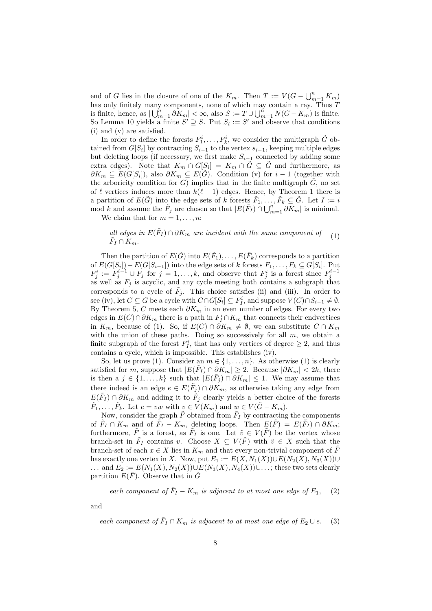end of G lies in the closure of one of the  $K_m$ . Then  $T := V(G - \bigcup_{m=1}^n K_m)$ has only finitely many components, none of which may contain a ray. Thus T is finite, hence, as  $\bigcup_{m=1}^{n} \partial K_m \big| < \infty$ , also  $S := T \cup \bigcup_{m=1}^{n} N(G - K_m)$  is finite. So Lemma 10 yields a finite  $S' \supseteq S$ . Put  $S_i := S'$  and observe that conditions (i) and (v) are satisfied.

In order to define the forests  $F_1^i, \ldots, F_k^i$ , we consider the multigraph  $\tilde{G}$  obtained from  $G[S_i]$  by contracting  $S_{i-1}$  to the vertex  $s_{i-1}$ , keeping multiple edges but deleting loops (if necessary, we first make  $S_{i-1}$  connected by adding some extra edges). Note that  $K_m \cap G[S_i] = K_m \cap \tilde{G} \subseteq \tilde{G}$  and furthermore, as  $\partial K_m \subseteq E(G[S_i])$ , also  $\partial K_m \subseteq E(G)$ . Condition (v) for  $i-1$  (together with the arboricity condition for  $G$ ) implies that in the finite multigraph  $G$ , no set of  $\ell$  vertices induces more than  $k(\ell - 1)$  edges. Hence, by Theorem 1 there is a partition of  $E(\tilde{G})$  into the edge sets of k forests  $\tilde{F}_1, \ldots, \tilde{F}_k \subseteq \tilde{G}$ . Let  $I := i$ mod k and assume the  $\tilde{F}_j$  are chosen so that  $|E(\tilde{F}_I) \cap \bigcup_{m=1}^n \partial K_m|$  is minimal.

We claim that for  $m = 1, \ldots, n$ :

all edges in 
$$
E(\tilde{F}_I) \cap \partial K_m
$$
 are incident with the same component of  $\tilde{F}_I \cap K_m$ . (1)

Then the partition of  $E(\tilde{G})$  into  $E(\tilde{F}_1), \ldots, E(\tilde{F}_k)$  corresponds to a partition of  $E(G[S_i]) - E(G[S_{i-1}])$  into the edge sets of k forests  $F_1, \ldots, F_k \subseteq G[S_i]$ . Put  $F_j^i := F_j^{i-1} \cup F_j$  for  $j = 1, ..., k$ , and observe that  $F_j^i$  is a forest since  $F_j^{i-1}$ as well as  $F_j$  is acyclic, and any cycle meeting both contains a subgraph that corresponds to a cycle of  $\tilde{F}_j$ . This choice satisfies (ii) and (iii). In order to see (iv), let  $C \subseteq G$  be a cycle with  $C \cap G[S_i] \subseteq F_I^i$ , and suppose  $V(C) \cap S_{i-1} \neq \emptyset$ . By Theorem 5, C meets each  $\partial K_m$  in an even number of edges. For every two edges in  $E(C) \cap \partial K_m$  there is a path in  $F_I^i \cap K_m$  that connects their endvertices in  $K_m$ , because of (1). So, if  $E(C) \cap \partial K_m \neq \emptyset$ , we can substitute  $C \cap K_m$ with the union of these paths. Doing so successively for all  $m$ , we obtain a finite subgraph of the forest  $F_I^i$ , that has only vertices of degree  $\geq 2$ , and thus contains a cycle, which is impossible. This establishes (iv).

So, let us prove (1). Consider an  $m \in \{1, ..., n\}$ . As otherwise (1) is clearly satisfied for m, suppose that  $|E(\tilde{F}_I) \cap \partial \tilde{K}_m| \geq 2$ . Because  $|\partial K_m| < 2k$ , there is then a  $j \in \{1, ..., k\}$  such that  $|E(\tilde{F}_j) \cap \partial K_m| \leq 1$ . We may assume that there indeed is an edge  $e \in E(\tilde{F}_j) \cap \partial K_m$ , as otherwise taking any edge from  $E(\tilde{F}_I) \cap \partial K_m$  and adding it to  $\tilde{F}_j$  clearly yields a better choice of the forests  $\tilde{F}_1, \ldots, \tilde{F}_k$ . Let  $e = vw$  with  $v \in V(K_m)$  and  $w \in V(\tilde{G} - K_m)$ .

Now, consider the graph  $\tilde{F}$  obtained from  $\tilde{F}_I$  by contracting the components of  $\tilde{F}_I \cap K_m$  and of  $\tilde{F}_I - K_m$ , deleting loops. Then  $E(\tilde{F}) = E(\tilde{F}_I) \cap \partial K_m$ ; furthermore,  $\tilde{F}$  is a forest, as  $\tilde{F}_I$  is one. Let  $\tilde{v} \in V(\tilde{F})$  be the vertex whose branch-set in  $\tilde{F}_I$  contains v. Choose  $X \subseteq V(\tilde{F})$  with  $\tilde{v} \in X$  such that the branch-set of each  $x \in X$  lies in  $K_m$  and that every non-trivial component of  $\tilde{F}$ has exactly one vertex in X. Now, put  $E_1 := E(X, N_1(X)) \cup E(N_2(X), N_3(X)) \cup$ ... and  $E_2 := E(N_1(X), N_2(X)) \cup E(N_3(X), N_4(X)) \cup ...$ ; these two sets clearly partition  $E(\tilde{F})$ . Observe that in  $\tilde{G}$ 

each component of  $\tilde{F}_I - K_m$  is adjacent to at most one edge of  $E_1$ , (2)

and

each component of  $\tilde{F}_I \cap K_m$  is adjacent to at most one edge of  $E_2 \cup e$ . (3)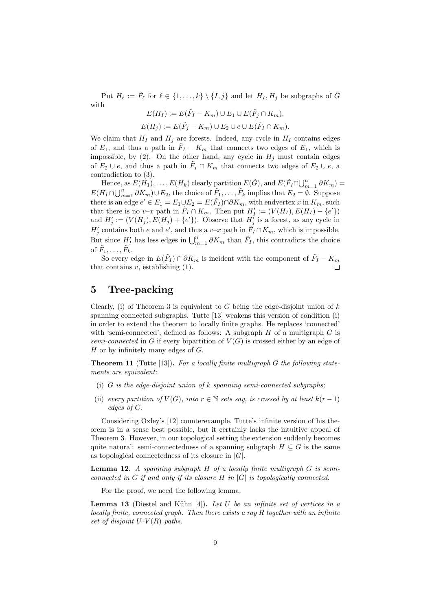Put  $H_{\ell} := \tilde{F}_{\ell}$  for  $\ell \in \{1, \ldots, k\} \setminus \{I, j\}$  and let  $H_I, H_j$  be subgraphs of  $\tilde{G}$ with

$$
E(H_I) := E(\tilde{F}_I - K_m) \cup E_1 \cup E(\tilde{F}_j \cap K_m),
$$
  

$$
E(H_j) := E(\tilde{F}_j - K_m) \cup E_2 \cup e \cup E(\tilde{F}_I \cap K_m).
$$

We claim that  $H_I$  and  $H_j$  are forests. Indeed, any cycle in  $H_I$  contains edges of  $E_1$ , and thus a path in  $\tilde{F}_I - K_m$  that connects two edges of  $E_1$ , which is impossible, by (2). On the other hand, any cycle in  $H_i$  must contain edges of  $E_2 \cup e$ , and thus a path in  $\tilde{F}_I \cap K_m$  that connects two edges of  $E_2 \cup e$ , a contradiction to (3).

Hence, as  $E(H_1), \ldots, E(H_k)$  clearly partition  $E(\tilde{G})$ , and  $E(\tilde{F}_I \cap \bigcup_{m=1}^n \partial K_m)$  $E(H_I \cap \bigcup_{m=1}^n \partial K_m) \cup E_2$ , the choice of  $\tilde{F}_1, \ldots, \tilde{F}_k$  implies that  $E_2 = \emptyset$ . Suppose there is an edge  $e' \in E_1 = E_1 \cup E_2 = E(\tilde{F}_1) \cap \partial K_m$ , with endvertex x in  $K_m$ , such that there is no v-x path in  $\tilde{F}_I \cap K_m$ . Then put  $H'_I := (V(H_I), E(H_I) - \{e'\})$ and  $H'_j := (V(H_j), E(H_j) + \{e'\})$ . Observe that  $H'_j$  is a forest, as any cycle in  $H'_{j}$  contains both e and e', and thus a v-x path in  $\tilde{F}_{I} \cap K_{m}$ , which is impossible. But since  $H'_I$  has less edges in  $\bigcup_{m=1}^n \partial K_m$  than  $\tilde{F}_I$ , this contradicts the choice of  $\tilde{F}_1, \ldots, \tilde{F}_k$ .

So every edge in  $E(\tilde{F}_I) \cap \partial K_m$  is incident with the component of  $\tilde{F}_I - K_m$ that contains  $v$ , establishing  $(1)$ .

# 5 Tree-packing

Clearly, (i) of Theorem 3 is equivalent to G being the edge-disjoint union of  $k$ spanning connected subgraphs. Tutte [13] weakens this version of condition (i) in order to extend the theorem to locally finite graphs. He replaces 'connected' with 'semi-connected', defined as follows: A subgraph  $H$  of a multigraph  $G$  is semi-connected in G if every bipartition of  $V(G)$  is crossed either by an edge of  $H$  or by infinitely many edges of  $G$ .

**Theorem 11** (Tutte  $[13]$ ). For a locally finite multigraph G the following statements are equivalent:

- (i)  $G$  is the edge-disjoint union of  $k$  spanning semi-connected subgraphs;
- (ii) every partition of  $V(G)$ , into  $r \in \mathbb{N}$  sets say, is crossed by at least  $k(r-1)$ edges of G.

Considering Oxley's [12] counterexample, Tutte's infinite version of his theorem is in a sense best possible, but it certainly lacks the intuitive appeal of Theorem 3. However, in our topological setting the extension suddenly becomes quite natural: semi-connectedness of a spanning subgraph  $H \subseteq G$  is the same as topological connectedness of its closure in  $|G|$ .

**Lemma 12.** A spanning subgraph  $H$  of a locally finite multigraph  $G$  is semiconnected in G if and only if its closure  $\overline{H}$  in  $|G|$  is topologically connected.

For the proof, we need the following lemma.

**Lemma 13** (Diestel and Kühn [4]). Let U be an infinite set of vertices in a locally finite, connected graph. Then there exists a ray R together with an infinite set of disjoint  $U-V(R)$  paths.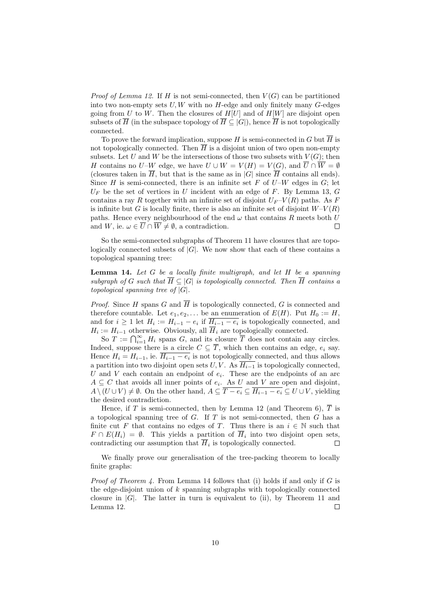*Proof of Lemma 12.* If H is not semi-connected, then  $V(G)$  can be partitioned into two non-empty sets  $U, W$  with no  $H$ -edge and only finitely many  $G$ -edges going from U to W. Then the closures of  $H[U]$  and of  $H[W]$  are disjoint open subsets of  $\overline{H}$  (in the subspace topology of  $\overline{H} \subseteq |G|$ ), hence  $\overline{H}$  is not topologically connected.

To prove the forward implication, suppose H is semi-connected in G but  $\overline{H}$  is not topologically connected. Then  $\overline{H}$  is a disjoint union of two open non-empty subsets. Let U and W be the intersections of those two subsets with  $V(G)$ ; then H contains no U–W edge, we have  $U \cup W = V(H) = V(G)$ , and  $\overline{U} \cap \overline{W} = \emptyset$ (closures taken in  $\overline{H}$ , but that is the same as in  $|G|$  since  $\overline{H}$  contains all ends). Since  $H$  is semi-connected, there is an infinite set  $F$  of  $U-W$  edges in  $G$ ; let  $U_F$  be the set of vertices in U incident with an edge of F. By Lemma 13, G contains a ray R together with an infinite set of disjoint  $U_F$ -V(R) paths. As F is infinite but G is locally finite, there is also an infinite set of disjoint  $W-V(R)$ paths. Hence every neighbourhood of the end  $\omega$  that contains R meets both U and W, ie.  $\omega \in \overline{U} \cap \overline{W} \neq \emptyset$ , a contradiction.  $\Box$ 

So the semi-connected subgraphs of Theorem 11 have closures that are topologically connected subsets of  $|G|$ . We now show that each of these contains a topological spanning tree:

**Lemma 14.** Let  $G$  be a locally finite multigraph, and let  $H$  be a spanning subgraph of G such that  $\overline{H} \subseteq |G|$  is topologically connected. Then  $\overline{H}$  contains a topological spanning tree of  $|G|$ .

*Proof.* Since H spans G and  $\overline{H}$  is topologically connected, G is connected and therefore countable. Let  $e_1, e_2, \ldots$  be an enumeration of  $E(H)$ . Put  $H_0 := H$ , and for  $i \geq 1$  let  $H_i := H_{i-1} - e_i$  if  $H_{i-1} - e_i$  is topologically connected, and  $H_i := H_{i-1}$  otherwise. Obviously, all  $H_i$  are topologically connected.

So  $T := \bigcap_{i=1}^{\infty} H_i$  spans G, and its closure  $\overline{T}$  does not contain any circles. Indeed, suppose there is a circle  $C \subseteq \overline{T}$ , which then contains an edge,  $e_i$  say. Hence  $H_i = H_{i-1}$ , ie.  $H_{i-1} - e_i$  is not topologically connected, and thus allows a partition into two disjoint open sets  $U, V$ . As  $\overline{H_{i-1}}$  is topologically connected, U and V each contain an endpoint of  $e_i$ . These are the endpoints of an arc  $A \subseteq C$  that avoids all inner points of  $e_i$ . As U and V are open and disjoint,  $A \setminus (U \cup V) \neq \emptyset$ . On the other hand,  $A \subseteq \overline{T - e_i} \subseteq \overline{H_{i-1} - e_i} \subseteq U \cup V$ , yielding the desired contradiction.

Hence, if T is semi-connected, then by Lemma 12 (and Theorem 6),  $\overline{T}$  is a topological spanning tree of  $G$ . If  $T$  is not semi-connected, then  $G$  has a finite cut F that contains no edges of T. Thus there is an  $i \in \mathbb{N}$  such that  $F \cap E(H_i) = \emptyset$ . This yields a partition of  $H_i$  into two disjoint open sets, contradicting our assumption that  $H_i$  is topologically connected.  $\Box$ 

We finally prove our generalisation of the tree-packing theorem to locally finite graphs:

*Proof of Theorem 4.* From Lemma 14 follows that (i) holds if and only if G is the edge-disjoint union of  $k$  spanning subgraphs with topologically connected closure in  $|G|$ . The latter in turn is equivalent to (ii), by Theorem 11 and Lemma 12. П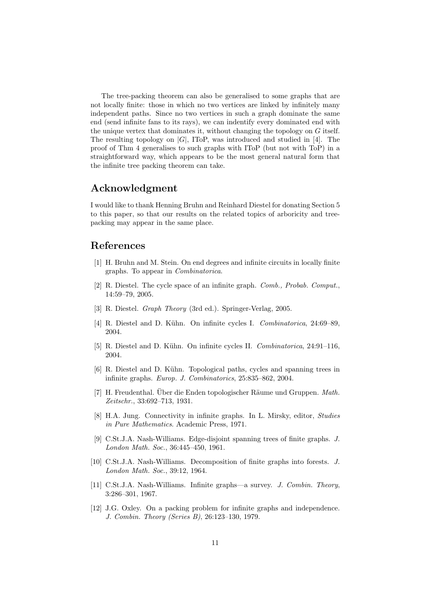The tree-packing theorem can also be generalised to some graphs that are not locally finite: those in which no two vertices are linked by infinitely many independent paths. Since no two vertices in such a graph dominate the same end (send infinite fans to its rays), we can indentify every dominated end with the unique vertex that dominates it, without changing the topology on  $G$  itself. The resulting topology on  $|G|$ , IToP, was introduced and studied in [4]. The proof of Thm 4 generalises to such graphs with IToP (but not with ToP) in a straightforward way, which appears to be the most general natural form that the infinite tree packing theorem can take.

## Acknowledgment

I would like to thank Henning Bruhn and Reinhard Diestel for donating Section 5 to this paper, so that our results on the related topics of arboricity and treepacking may appear in the same place.

### References

- [1] H. Bruhn and M. Stein. On end degrees and infinite circuits in locally finite graphs. To appear in Combinatorica.
- [2] R. Diestel. The cycle space of an infinite graph. Comb., Probab. Comput., 14:59–79, 2005.
- [3] R. Diestel. Graph Theory (3rd ed.). Springer-Verlag, 2005.
- [4] R. Diestel and D. Kühn. On infinite cycles I. Combinatorica, 24:69–89. 2004.
- [5] R. Diestel and D. K¨uhn. On infinite cycles II. Combinatorica, 24:91–116, 2004.
- [6] R. Diestel and D. Kühn. Topological paths, cycles and spanning trees in infinite graphs. Europ. J. Combinatorics, 25:835–862, 2004.
- $[7]$  H. Freudenthal. Über die Enden topologischer Räume und Gruppen. Math. Zeitschr., 33:692–713, 1931.
- [8] H.A. Jung. Connectivity in infinite graphs. In L. Mirsky, editor, Studies in Pure Mathematics. Academic Press, 1971.
- [9] C.St.J.A. Nash-Williams. Edge-disjoint spanning trees of finite graphs. J. London Math. Soc., 36:445–450, 1961.
- [10] C.St.J.A. Nash-Williams. Decomposition of finite graphs into forests. J. London Math. Soc., 39:12, 1964.
- [11] C.St.J.A. Nash-Williams. Infinite graphs—a survey. J. Combin. Theory, 3:286–301, 1967.
- [12] J.G. Oxley. On a packing problem for infinite graphs and independence. J. Combin. Theory (Series B), 26:123–130, 1979.